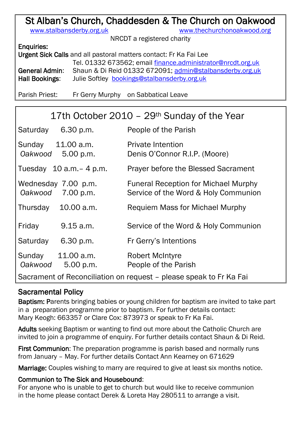# St Alban's Church, Chaddesden & The Church on Oakwood

[www.stalbansderby.org.uk](http://www.stalbansderby.org.uk/) [www.thechurchonoakwood.org](http://www.thechurchonoakwood.org/)

NRCDT a registered charity

#### Enquiries:

Urgent Sick Calls and all pastoral matters contact: Fr Ka Fai Lee Tel. 01332 673562; email [finance.administrator@nrcdt.org.uk](mailto:finance.administrator@nrcdt.org.uk) General Admin: Shaun & Di Reid 01332 672091; [admin@stalbansderby.org.uk](mailto:admin@stalbansderby.org.uk) Hall Bookings: Julie Softley [bookings@stalbansderby.org.uk](mailto:bookings@stalbansderby.org.uk)

Parish Priest: Fr Gerry Murphy on Sabbatical Leave

| 17th October 2010 - 29 <sup>th</sup> Sunday of the Year            |                                  |                                                                                     |  |  |
|--------------------------------------------------------------------|----------------------------------|-------------------------------------------------------------------------------------|--|--|
| Saturday                                                           | 6.30 p.m.                        | People of the Parish                                                                |  |  |
| Sunday<br>Oakwood                                                  | 11.00 a.m.<br>5.00 p.m.          | <b>Private Intention</b><br>Denis O'Connor R.I.P. (Moore)                           |  |  |
|                                                                    | Tuesday $10$ a.m. $-$ 4 p.m.     | <b>Prayer before the Blessed Sacrament</b>                                          |  |  |
| Oakwood                                                            | Wednesday 7.00 p.m.<br>7.00 p.m. | <b>Funeral Reception for Michael Murphy</b><br>Service of the Word & Holy Communion |  |  |
| Thursday                                                           | 10.00 a.m.                       | Requiem Mass for Michael Murphy                                                     |  |  |
| Friday                                                             | 9.15 a.m.                        | Service of the Word & Holy Communion                                                |  |  |
| Saturday                                                           | $6.30$ p.m.                      | Fr Gerry's Intentions                                                               |  |  |
| Sunday<br>Oakwood                                                  | 11.00 a.m.<br>5.00 p.m.          | Robert McIntyre<br>People of the Parish                                             |  |  |
| Sacrament of Reconciliation on request – please speak to Fr Ka Fai |                                  |                                                                                     |  |  |

# Sacramental Policy

Baptism: Parents bringing babies or young children for baptism are invited to take part in a preparation programme prior to baptism. For further details contact: Mary Keogh: 663357 or Clare Cox: 873973 or speak to Fr Ka Fai.

Adults seeking Baptism or wanting to find out more about the Catholic Church are invited to join a programme of enquiry. For further details contact Shaun & Di Reid.

First Communion: The preparation programme is parish based and normally runs from January – May. For further details Contact Ann Kearney on 671629

Marriage: Couples wishing to marry are required to give at least six months notice.

#### Communion to The Sick and Housebound:

For anyone who is unable to get to church but would like to receive communion in the home please contact Derek & Loreta Hay 280511 to arrange a visit.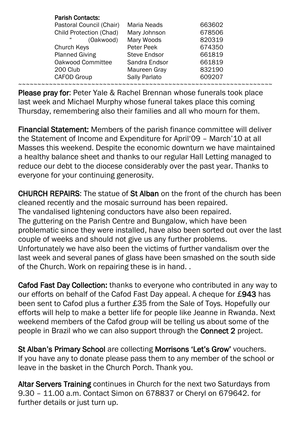| <b>Parish Contacts:</b>        |                     |        |  |
|--------------------------------|---------------------|--------|--|
| Pastoral Council (Chair)       | Maria Neads         | 663602 |  |
| <b>Child Protection (Chad)</b> | Mary Johnson        | 678506 |  |
| 44<br>(Oakwood)                | Mary Woods          | 820319 |  |
| Church Keys                    | Peter Peek          | 674350 |  |
| <b>Planned Giving</b>          | <b>Steve Endsor</b> | 661819 |  |
| Oakwood Committee              | Sandra Endsor       | 661819 |  |
| 200 Club                       | Maureen Gray        | 832190 |  |
| <b>CAFOD Group</b>             | Sally Parlato       | 609207 |  |
|                                |                     |        |  |

Please pray for: Peter Yale & Rachel Brennan whose funerals took place last week and Michael Murphy whose funeral takes place this coming Thursday, remembering also their families and all who mourn for them.

Financial Statement: Members of the parish finance committee will deliver the Statement of Income and Expenditure for April'09 – March'10 at all Masses this weekend. Despite the economic downturn we have maintained a healthy balance sheet and thanks to our regular Hall Letting managed to reduce our debt to the diocese considerably over the past year. Thanks to everyone for your continuing generosity.

CHURCH REPAIRS: The statue of St Alban on the front of the church has been cleaned recently and the mosaic surround has been repaired. The vandalised lightening conductors have also been repaired. The guttering on the Parish Centre and Bungalow, which have been problematic since they were installed, have also been sorted out over the last couple of weeks and should not give us any further problems. Unfortunately we have also been the victims of further vandalism over the last week and several panes of glass have been smashed on the south side of the Church. Work on repairing these is in hand. .

Cafod Fast Day Collection: thanks to everyone who contributed in any way to our efforts on behalf of the Cafod Fast Day appeal. A cheque for £943 has been sent to Cafod plus a further £35 from the Sale of Toys. Hopefully our efforts will help to make a better life for people like Jeanne in Rwanda. Next weekend members of the Cafod group will be telling us about some of the people in Brazil who we can also support through the Connect 2 project.

St Alban's Primary School are collecting Morrisons 'Let's Grow' vouchers. If you have any to donate please pass them to any member of the school or leave in the basket in the Church Porch. Thank you.

Altar Servers Training continues in Church for the next two Saturdays from 9.30 – 11.00 a.m. Contact Simon on 678837 or Cheryl on 679642. for further details or just turn up.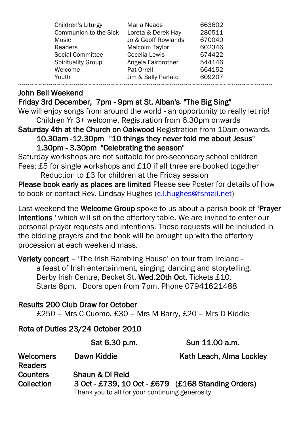| Children's Liturgy        | <b>Maria Neads</b>  | 663602 |
|---------------------------|---------------------|--------|
| Communion to the Sick     | Loreta & Derek Hay  | 280511 |
| <b>Music</b>              | Jo & Geoff Rowlands | 670040 |
| <b>Readers</b>            | Malcolm Taylor      | 602346 |
| <b>Social Committee</b>   | Cecelia Lewis       | 674422 |
| <b>Spirituality Group</b> | Angela Fairbrother  | 544146 |
| Welcome                   | Pat Orrell          | 664152 |
| Youth                     | Jim & Sally Parlato | 609207 |
|                           |                     |        |

### John Bell Weekend

Friday 3rd December, 7pm - 9pm at St. Alban's. "The Big Sing"

We will enjoy songs from around the world - an opportunity to really let rip! Children Yr 3+ welcome. Registration from 6.30pm onwards

Saturday 4th at the Church on Oakwood Registration from 10am onwards.

10.30am -12.30pm "10 things they never told me about Jesus" 1.30pm - 3.30pm "Celebrating the season"

Saturday workshops are not suitable for pre-secondary school children Fees: £5 for single workshops and £10 if all three are booked together

Reduction to £3 for children at the Friday session

Please book early as places are limited Please see Poster for details of how to book or contact Rev. Lindsay Hughes [\(c.l.hughes@fsmail.net\)](mailto:c.l.hughes@fsmail.net)

Last weekend the Welcome Group spoke to us about a parish book of 'Prayer Intentions ' which will sit on the offertory table. We are invited to enter our personal prayer requests and intentions. These requests will be included in the bidding prayers and the book will be brought up with the offertory procession at each weekend mass.

Variety concert – 'The Irish Rambling House' on tour from Ireland a feast of Irish entertainment, singing, dancing and storytelling. Derby Irish Centre, Becket St, Wed.20th Oct. Tickets £10. Starts 8pm. Doors open from 7pm. Phone 07941621488

# Results 200 Club Draw for October

£250 – Mrs C Cuomo, £30 – Mrs M Barry, £20 – Mrs D Kiddie

### Rota of Duties 23/24 October 2010

|                                    | Sat 6.30 p.m.                                      | Sun 11.00 a.m.           |
|------------------------------------|----------------------------------------------------|--------------------------|
| <b>Welcomers</b><br><b>Readers</b> | Dawn Kiddie                                        | Kath Leach, Alma Lockley |
| <b>Counters</b>                    | Shaun & Di Reid                                    |                          |
| Collection                         | 3 Oct - £739, 10 Oct - £679 (£168 Standing Orders) |                          |
|                                    | Thank you to all for your continuing generosity    |                          |